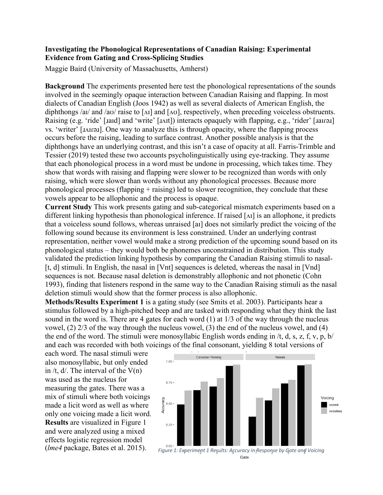## **Investigating the Phonological Representations of Canadian Raising: Experimental Evidence from Gating and Cross-Splicing Studies**

Maggie Baird (University of Massachusetts, Amherst)

**Background** The experiments presented here test the phonological representations of the sounds involved in the seemingly opaque interaction between Canadian Raising and flapping. In most dialects of Canadian English (Joos 1942) as well as several dialects of American English, the diphthongs /aɪ/ and /aʊ/ raise to [AI] and [Aʊ], respectively, when preceding voiceless obstruents. Raising (e.g. 'ride' [*xaid]* and 'write' [*xxit]*) interacts opaquely with flapping, e.g., 'rider' [*xair*ə*x*] vs. 'writer' [ɹʌɪɾəɹ]. One way to analyze this is through opacity, where the flapping process occurs before the raising, leading to surface contrast. Another possible analysis is that the diphthongs have an underlying contrast, and this isn't a case of opacity at all. Farris-Trimble and Tessier (2019) tested these two accounts psycholinguistically using eye-tracking. They assume that each phonological process in a word must be undone in processing, which takes time. They show that words with raising and flapping were slower to be recognized than words with only raising, which were slower than words without any phonological processes. Because more phonological processes (flapping  $+$  raising) led to slower recognition, they conclude that these vowels appear to be allophonic and the process is opaque.

**Current Study** This work presents gating and sub-categorical mismatch experiments based on a different linking hypothesis than phonological inference. If raised [ʌɪ] is an allophone, it predicts that a voiceless sound follows, whereas unraised [aɪ] does not similarly predict the voicing of the following sound because its environment is less constrained. Under an underlying contrast representation, neither vowel would make a strong prediction of the upcoming sound based on its phonological status – they would both be phonemes unconstrained in distribution. This study validated the prediction linking hypothesis by comparing the Canadian Raising stimuli to nasal- [t, d] stimuli. In English, the nasal in [Vnt] sequences is deleted, whereas the nasal in [Vnd] sequences is not. Because nasal deletion is demonstrably allophonic and not phonetic (Cohn 1993), finding that listeners respond in the same way to the Canadian Raising stimuli as the nasal deletion stimuli would show that the former process is also allophonic.

**Methods/Results Experiment 1** is a gating study (see Smits et al. 2003). Participants hear a stimulus followed by a high-pitched beep and are tasked with responding what they think the last sound in the word is. There are 4 gates for each word (1) at 1/3 of the way through the nucleus vowel, (2) 2/3 of the way through the nucleus vowel, (3) the end of the nucleus vowel, and (4) the end of the word. The stimuli were monosyllabic English words ending in  $/t$ , d, s, z, f, v, p, b/ and each was recorded with both voicings of the final consonant, yielding 8 total versions of

each word. The nasal stimuli were also monosyllabic, but only ended in /t,  $d$ . The interval of the  $V(n)$ was used as the nucleus for measuring the gates. There was a mix of stimuli where both voicings made a licit word as well as where only one voicing made a licit word. **Results** are visualized in Figure 1 and were analyzed using a mixed effects logistic regression model